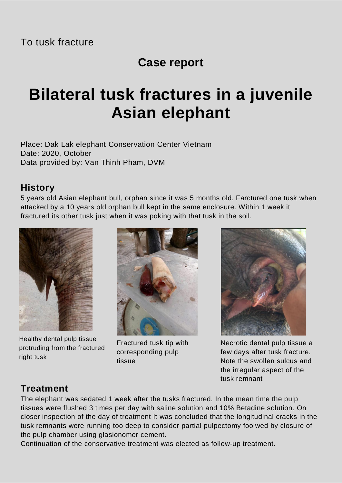### **Case report**

# **Bilateral tusk fractures in a juvenile Asian elephant**

Place: Dak Lak elephant Conservation Center Vietnam Date: 2020, October Data provided by: Van Thinh Pham, DVM

#### **History**

5 years old Asian elephant bull, orphan since it was 5 months old. Farctured one tusk when attacked by a 10 years old orphan bull kept in the same enclosure. Within 1 week it fractured its other tusk just when it was poking with that tusk in the soil.



Healthy dental pulp tissue protruding from the fractured right tusk



Fractured tusk tip with corresponding pulp tissue



Necrotic dental pulp tissue a few days after tusk fracture. Note the swollen sulcus and the irregular aspect of the tusk remnant

#### **Treatment**

The elephant was sedated 1 week after the tusks fractured. In the mean time the pulp tissues were flushed 3 times per day with saline solution and 10% Betadine solution. On closer inspection of the day of treatment It was concluded that the longitudinal cracks in the tusk remnants were running too deep to consider partial pulpectomy foolwed by closure of the pulp chamber using glasionomer cement.

Continuation of the conservative treatment was elected as follow-up treatment.